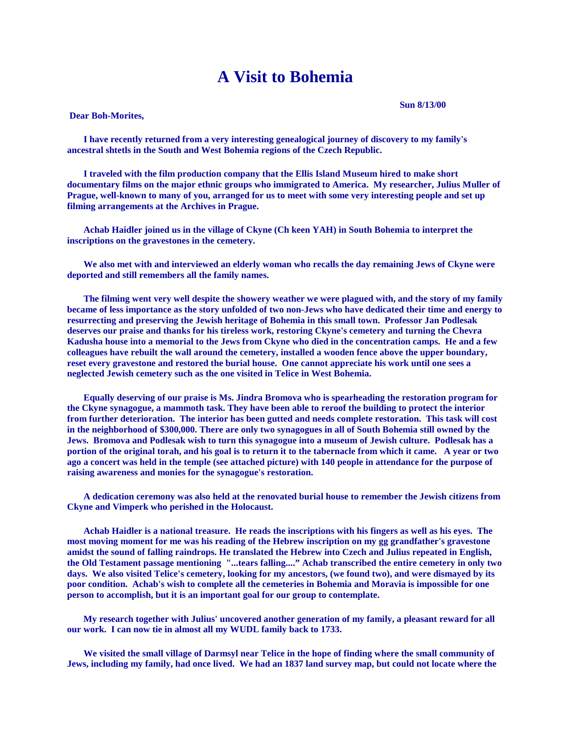## **A Visit to Bohemia**

 **Sun 8/13/00**

## **Dear Boh-Morites,**

 **I have recently returned from a very interesting genealogical journey of discovery to my family's ancestral shtetls in the South and West Bohemia regions of the Czech Republic.**

 **I traveled with the film production company that the Ellis Island Museum hired to make short documentary films on the major ethnic groups who immigrated to America. My researcher, Julius Muller of Prague, well-known to many of you, arranged for us to meet with some very interesting people and set up filming arrangements at the Archives in Prague.**

 **Achab Haidler joined us in the village of Ckyne (Ch keen YAH) in South Bohemia to interpret the inscriptions on the gravestones in the cemetery.**

 **We also met with and interviewed an elderly woman who recalls the day remaining Jews of Ckyne were deported and still remembers all the family names.**

 **The filming went very well despite the showery weather we were plagued with, and the story of my family became of less importance as the story unfolded of two non-Jews who have dedicated their time and energy to resurrecting and preserving the Jewish heritage of Bohemia in this small town. Professor Jan Podlesak deserves our praise and thanks for his tireless work, restoring Ckyne's cemetery and turning the Chevra Kadusha house into a memorial to the Jews from Ckyne who died in the concentration camps. He and a few colleagues have rebuilt the wall around the cemetery, installed a wooden fence above the upper boundary, reset every gravestone and restored the burial house. One cannot appreciate his work until one sees a neglected Jewish cemetery such as the one visited in Telice in West Bohemia.**

 **Equally deserving of our praise is Ms. Jindra Bromova who is spearheading the restoration program for the Ckyne synagogue, a mammoth task. They have been able to reroof the building to protect the interior from further deterioration. The interior has been gutted and needs complete restoration. This task will cost in the neighborhood of \$300,000. There are only two synagogues in all of South Bohemia still owned by the Jews. Bromova and Podlesak wish to turn this synagogue into a museum of Jewish culture. Podlesak has a portion of the original torah, and his goal is to return it to the tabernacle from which it came. A year or two ago a concert was held in the temple (see attached picture) with 140 people in attendance for the purpose of raising awareness and monies for the synagogue's restoration.**

 **A dedication ceremony was also held at the renovated burial house to remember the Jewish citizens from Ckyne and Vimperk who perished in the Holocaust.**

 **Achab Haidler is a national treasure. He reads the inscriptions with his fingers as well as his eyes. The most moving moment for me was his reading of the Hebrew inscription on my gg grandfather's gravestone amidst the sound of falling raindrops. He translated the Hebrew into Czech and Julius repeated in English, the Old Testament passage mentioning "...tears falling...." Achab transcribed the entire cemetery in only two days. We also visited Telice's cemetery, looking for my ancestors, (we found two), and were dismayed by its poor condition. Achab's wish to complete all the cemeteries in Bohemia and Moravia is impossible for one person to accomplish, but it is an important goal for our group to contemplate.**

 **My research together with Julius' uncovered another generation of my family, a pleasant reward for all our work. I can now tie in almost all my WUDL family back to 1733.**

 **We visited the small village of Darmsyl near Telice in the hope of finding where the small community of Jews, including my family, had once lived. We had an 1837 land survey map, but could not locate where the**